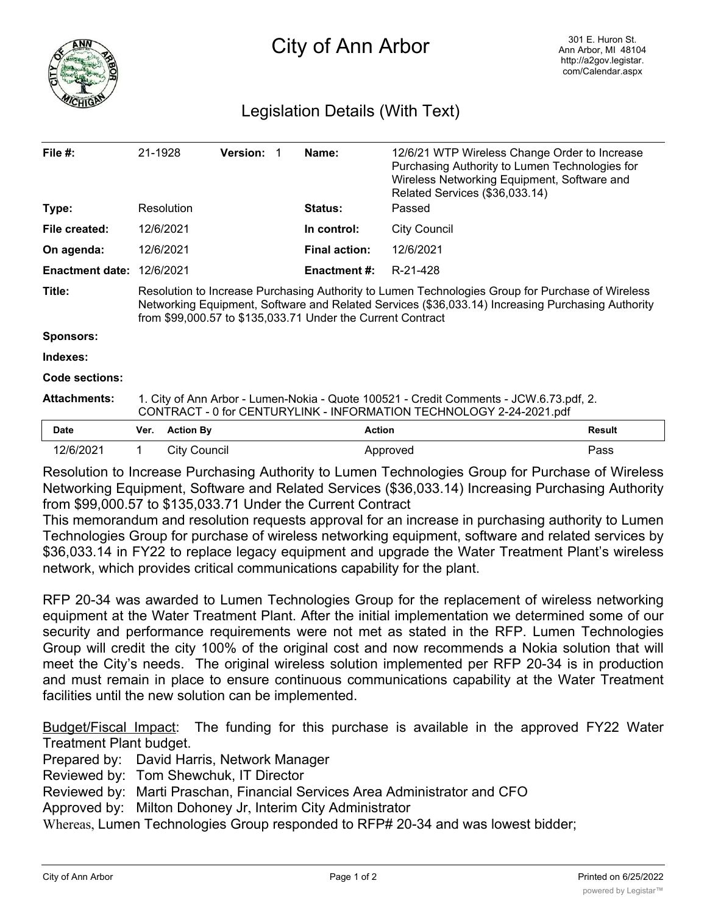

## Legislation Details (With Text)

| File $#$ :             | 21-1928                                                                                                                                                                                                                                                              |                     | <b>Version:</b> |  | Name:                | 12/6/21 WTP Wireless Change Order to Increase<br>Purchasing Authority to Lumen Technologies for<br>Wireless Networking Equipment, Software and<br>Related Services (\$36,033.14) |               |
|------------------------|----------------------------------------------------------------------------------------------------------------------------------------------------------------------------------------------------------------------------------------------------------------------|---------------------|-----------------|--|----------------------|----------------------------------------------------------------------------------------------------------------------------------------------------------------------------------|---------------|
| Type:                  |                                                                                                                                                                                                                                                                      | Resolution          |                 |  | <b>Status:</b>       | Passed                                                                                                                                                                           |               |
| File created:          |                                                                                                                                                                                                                                                                      | 12/6/2021           |                 |  | In control:          | <b>City Council</b>                                                                                                                                                              |               |
| On agenda:             |                                                                                                                                                                                                                                                                      | 12/6/2021           |                 |  | <b>Final action:</b> | 12/6/2021                                                                                                                                                                        |               |
| <b>Enactment date:</b> |                                                                                                                                                                                                                                                                      | 12/6/2021           |                 |  | <b>Enactment #:</b>  | R-21-428                                                                                                                                                                         |               |
| Title:                 | Resolution to Increase Purchasing Authority to Lumen Technologies Group for Purchase of Wireless<br>Networking Equipment, Software and Related Services (\$36,033.14) Increasing Purchasing Authority<br>from \$99,000.57 to \$135,033.71 Under the Current Contract |                     |                 |  |                      |                                                                                                                                                                                  |               |
| <b>Sponsors:</b>       |                                                                                                                                                                                                                                                                      |                     |                 |  |                      |                                                                                                                                                                                  |               |
| Indexes:               |                                                                                                                                                                                                                                                                      |                     |                 |  |                      |                                                                                                                                                                                  |               |
| Code sections:         |                                                                                                                                                                                                                                                                      |                     |                 |  |                      |                                                                                                                                                                                  |               |
| <b>Attachments:</b>    | 1. City of Ann Arbor - Lumen-Nokia - Quote 100521 - Credit Comments - JCW.6.73.pdf, 2.<br>CONTRACT - 0 for CENTURYLINK - INFORMATION TECHNOLOGY 2-24-2021.pdf                                                                                                        |                     |                 |  |                      |                                                                                                                                                                                  |               |
| <b>Date</b>            | Ver.                                                                                                                                                                                                                                                                 | <b>Action By</b>    |                 |  |                      | <b>Action</b>                                                                                                                                                                    | <b>Result</b> |
| 12/6/2021              |                                                                                                                                                                                                                                                                      | <b>City Council</b> |                 |  |                      | Approved                                                                                                                                                                         | Pass          |

Resolution to Increase Purchasing Authority to Lumen Technologies Group for Purchase of Wireless Networking Equipment, Software and Related Services (\$36,033.14) Increasing Purchasing Authority from \$99,000.57 to \$135,033.71 Under the Current Contract

This memorandum and resolution requests approval for an increase in purchasing authority to Lumen Technologies Group for purchase of wireless networking equipment, software and related services by \$36,033.14 in FY22 to replace legacy equipment and upgrade the Water Treatment Plant's wireless network, which provides critical communications capability for the plant.

RFP 20-34 was awarded to Lumen Technologies Group for the replacement of wireless networking equipment at the Water Treatment Plant. After the initial implementation we determined some of our security and performance requirements were not met as stated in the RFP. Lumen Technologies Group will credit the city 100% of the original cost and now recommends a Nokia solution that will meet the City's needs. The original wireless solution implemented per RFP 20-34 is in production and must remain in place to ensure continuous communications capability at the Water Treatment facilities until the new solution can be implemented.

Budget/Fiscal Impact: The funding for this purchase is available in the approved FY22 Water Treatment Plant budget.

Prepared by: David Harris, Network Manager

Reviewed by: Tom Shewchuk, IT Director

Reviewed by: Marti Praschan, Financial Services Area Administrator and CFO

Approved by: Milton Dohoney Jr, Interim City Administrator

Whereas, Lumen Technologies Group responded to RFP# 20-34 and was lowest bidder;